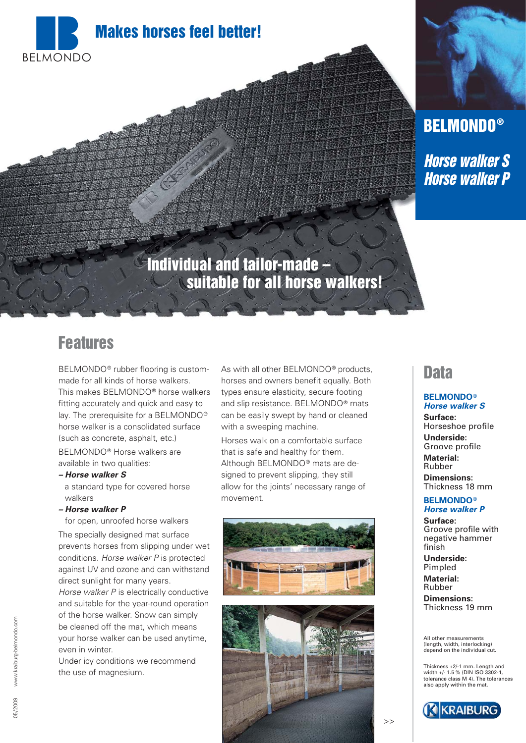

# **BELMONDO®**

**Horse walker S Horse walker P**

## **Individual and tailor-made – suitable for all horse walkers!**

### **Features**

BELMONDO® rubber flooring is custommade for all kinds of horse walkers. This makes BELMONDO® horse walkers fitting accurately and quick and easy to lay. The prerequisite for a BELMONDO® horse walker is a consolidated surface (such as concrete, asphalt, etc.) BELMONDO® Horse walkers are available in two qualities:

**– Horse walker S** a standard type for covered horse walkers

**– Horse walker P**

for open, unroofed horse walkers

The specially designed mat surface prevents horses from slipping under wet conditions. Horse walker P is protected against UV and ozone and can withstand direct sunlight for many years. Horse walker P is electrically conductive

and suitable for the year-round operation of the horse walker. Snow can simply be cleaned off the mat, which means your horse walker can be used anytime, even in winter.

Under icy conditions we recommend the use of magnesium.

As with all other BELMONDO<sup>®</sup> products, horses and owners benefit equally. Both types ensure elasticity, secure footing and slip resistance. BELMONDO® mats can be easily swept by hand or cleaned with a sweeping machine.

Horses walk on a comfortable surface that is safe and healthy for them. Although BELMONDO® mats are designed to prevent slipping, they still allow for the joints' necessary range of movement.





### **Data**

#### **BELMONDO**® **Horse walker S**

**Surface:** Horseshoe profile **Underside:** Groove profile **Material:**

Rubber **Dimensions:** Thickness 18 mm

#### **BELMONDO**® **Horse walker P**

**Surface:** Groove profile with negative hammer finish

**Underside:** Pimpled

**Material:** Rubber

**Dimensions:** Thickness 19 mm

All other measurements (length, width, interlocking) depend on the individual cut.

Thickness +2/-1 mm. Length and width +/- 1.5 % (DIN ISO 3302-1) tolerance class M 4). The tolerances also apply within the mat.